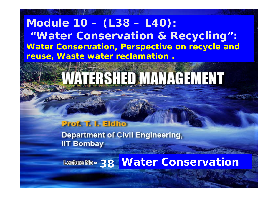#### **Module 10 – (L38 – L40): " i li Water Conservation & Recycling ": Water Conservation, Perspective on recycle and reuse, W t t l ti Was e wa ter reclamation .**

# VAJERSHED MANAGEMENT

#### **Prof. T. I. Eldho**

**Department of Civil Engineering, IIT Bombay** 

**38 Water Conservation**

11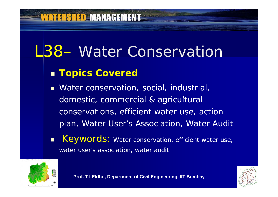#### **ATERSHED MANAGEMENT**

## L38– Water Conservation

#### **Topics Covered**

 Water conservation, social, industrial, domestic, commercial & agricultural conservations, efficient water use, action plan, Water User's Association, Water Audit

 $\blacksquare$ Keywords: Water conservation, efficient water use, water user's association, water audit



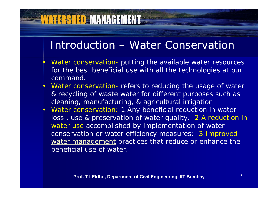#### Introduction – Water Conservation

- • Water conservation- putting the available water resources for the best beneficial use with all the technologies at our command.
- Water conservation- refers to reducing the usage of water & recycling of waste water for different purposes such as cleaning, manufacturing, & agricultural irrigation
- Water conservation: 1.Any beneficial reduction in water loss, use & preservation of water quality. 2.A reduction in water use accomplished by implementation of water conservation or water efficiency measures; 3.Improved water management practices that reduce or enhance the beneficial use of water.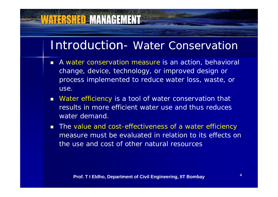#### Introduction- Water Conservation

- A water conservation measure is an action, behavioral change, device, technology, or improved design or process implemented to reduce water loss, waste, or use.
- $\blacksquare$  *Water efficiency* is a tool of water conservation that results in more efficient water use and thus reduces water demand.
- The value and cost-effectiveness of a water efficiency measure must be evaluated in relation to its effects on the use and cost of other natural resources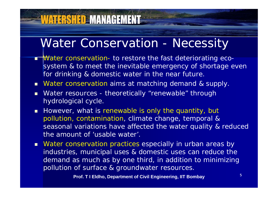#### Water Conservation - Necessity

**VATERSHED MANAGEMENT** 

- Π **Water conservation- to restore the fast deteriorating eco**system & to meet the inevitable emergency of shortage even for drinking & domestic water in the near future.
- **Nater conservation aims at matching demand & supply.**
- **Nater resources theoretically "renewable" through** hydrological cycle.
- **However, what is renewable is only the quantity, but** pollution, contamination, climate change, temporal & seasonal variations have affected the water quality & reduced the amount of 'usable water'.
- **Nater conservation practices especially in urban areas by** industries, municipal uses & domestic uses can reduce the demand as much as by one third, in addition to minimizing pollution of surface & groundwater resources.

**Prof. T I Eldho, Department of Civil Engineering, IIT Bombay**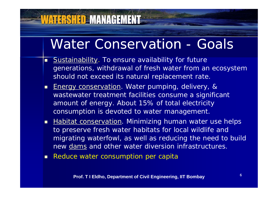## Water Conservation - Goals

- п Sustainability. To ensure availability for future generations, withdrawal of fresh water from an ecosystem should not exceed its natural replacement rate.
- Г Energy conservation. Water pumping, delivery, & wastewater treatment facilities consume a si gnificant amount of energy. About 15% of total electricity consumption is devoted to water management.
- **Habitat conservation**. Minimizing human water use helps to preserve fresh water habitats for local wildlife and migrating waterfowl, as well as reducing the need to build new dams and other water diversion infrastructures.
- Г Reduce water consumption per capita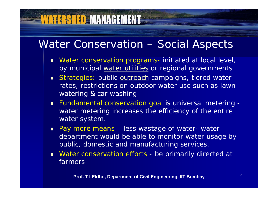#### Water Conservation – Social Aspects

- Г Water conservation programs- initiated at local level, by municipal water utilities or regional governments
- Strategies: public <u>outreach</u> campaigns, tiered water rates, restrictions on outdoor water use such as lawn watering & car washing
- Fundamental conservation goal is universal metering water metering increases the efficiency of the entire water system.
- **Pay more means less wastage of water- water** department would be able to monitor water usage by public, domestic and manufacturing services.
- Water conservation efforts be primarily directed at farmers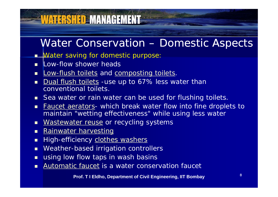#### Water Conservation – Domestic Aspects

■ Water saving for domestic purpose:

- **Low-flow shower heads**
- $\blacksquare$ **Low-flush toilets and composting toilets.**
- П Dual flush toilets -use up to 67% less water than conventional toilets.
- $\blacksquare$ Sea water or rain water can be used for flushing toilets.
- П Faucet aerators- which break water flow into fine droplets to maintain "wetting effectiveness" while using less water
- $\blacksquare$ **Nastewater reuse or recycling systems**
- п Rainwater harvesting
- П **EXEC** High-efficiency **clothes washers**
- $\blacksquare$ Weather-based irrigation controllers
- $\blacksquare$ using low flow taps in wash basins
- Π Automatic faucet is a water conservation faucet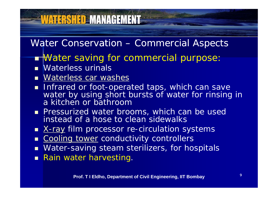## **WATERSHED MANAGEMENT**

#### Water Conservation - Commercial Aspects

- **Nater saving for commercial purpose:**
- **Naterless urinals**
- **Naterless car washes**
- **Infrared or foot-operated taps, which can save** water by using short bursts of water for rinsing in a kitchen or bathroom
- **Pressurized water brooms, which can be used** instead of a hose to clean sidewalks
- X-ray film processor re-circulation systems
- Г Cooling tower conductivity controllers
- $\blacksquare$ Water-saving steam sterilizers, for hospitals
- **Rain water harvesting.**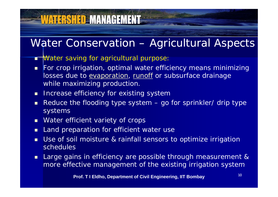## **VATERSHED MANAGEMENT**

#### Water Conservation – Agricultural Aspects

- <del>Wate</del>r saving for agricultural purpose:
- $\blacksquare$  For crop irrigation, optimal water efficiency means minimizing losses due to evaporation, runoff or subsurface drainage while maximizing production.
- **Increase efficiency for existing system**
- П Reduce the flooding type system – go for sprinkler/ drip type systems
- $\blacksquare$ Water efficient variety of crops
- $\blacksquare$ Land preparation for efficient water use
- П Use of soil moisture & rainfall sensors to optimize irrigation schedules
- $\blacksquare$  Large gains in efficiency are possible through measurement & more effective management of the existing irrigation system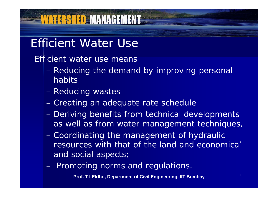#### Efficient Water Use

**WATERSHED MANAGEMENT** 

Efficient water use means

- Reducing the demand by improving personal habits
- Reducing wastes
- Creating an adequate rate schedule
- Deriving benefits from technical developments as well as from water management techniques,
- Coordinating the management of hydraulic resources with that of the land and economical and social aspects;
- Promoting norms and regulations  $-$  . FIGHTOHING TION ITS QITA TEGUIATIONS.

**Prof. T I Eldho, Department of Civil Engineering, IIT Bombay**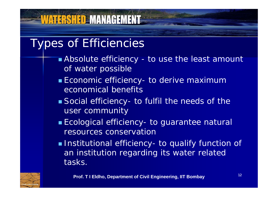## **WATERSHED MANAGEMENT**

#### Types of Efficiencies

- Absolute efficiency to use the least amount of water possible
- **Economic efficiency- to derive maximum** economical benefits
- Social efficiency- to fulfil the needs of the user community
- **Ecological efficiency** - to guarantee natural resources conservation
- **Institutional efficiency** - to qualify function of an institution regarding its water related tasks.

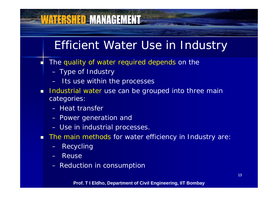#### **VATERSHED MANAGEMENT** Efficient Water Use in Industry The quality of water required depends on the Г Type of Industry Its use within the processes Industrial water use can be grouped into three main categories: – Heat transfer – Power generation and Use in industrial processes. **The main methods for water efficiency in Industry are:** Recycling

- Reuse
- $-$  Reduction in consumption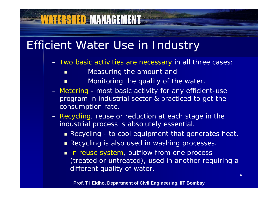#### Efficient Water Use in Industry

- Two basic activities are necessary in all three cases:
	- Г Measuring the amount and
	- Г Monitoring the quality of the water.
- Metering most basic activity for any efficient-use program in industrial sector & practiced to get the consumption rate.
- Recycling, reuse or reduction at each stage in the industrial process is absolutely essential.
	- Recycling to cool equipment that generates heat.
	- **Recycling is also used in washing processes.**
	- **In reuse system, outflow from one process** (treated or untreated), used in another requiring a different quality of water.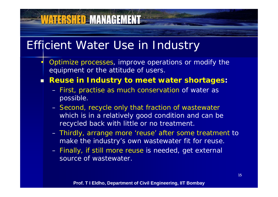#### Efficient Water Use in Industry

**VATERSHED MANAGEMENT=** 

•

- Optimize processes, improve operations or modify the equipment or the attitude of users.
- п **Reuse in Industry to meet water shortages:**
	- First, practise as much conservation of water as possible.
	- Second, recycle only that fraction of wastewater which is in a relatively good condition and can be recycled back with little or no treatment.
	- Thirdly, arrange more 'reuse' after some treatment to make the industry's own wastewater fit for reuse.
	- Finally, if still more reuse is needed, get external source of wastewater.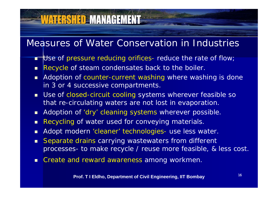## **VATERSHED MANAGEMENT**

#### Measures of Water Conservation in Industries

- **The Use of pressure reducing orifices- reduce the rate of flow**
- $\blacksquare$ Recycle of steam condensates back to the boiler.
- $\blacksquare$ **Adoption of counter-current washing where washing is done** in 3 or 4 successive compartments.
- $\blacksquare$  Use of closed-circuit cooling systems wherever feasible so that re-circulating waters are not lost in evaporation.
- $\blacksquare$ Adoption of 'dry' cleaning systems wherever possible.
- $\blacksquare$ Recycling of water used for conveying materials.
- $\blacksquare$ Adopt modern 'cleaner' technologies- use less water.
- $\blacksquare$  Separate drains carrying wastewaters from different processes- to make recycle / reuse more feasible, & less cost.
- $\blacksquare$ Create and reward awareness among workmen.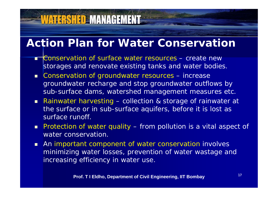#### **Action Plan for Water Conservation**

- Π **Conservation of surface water resources – create new** storages and renovate existing tanks and water bodies.
- **Example 20 Conservation of groundwater resources** – increase groundwater recharge and stop groundwater outflows by sub-surface dams, watershed management measures etc.
- Rainwater harvesting collection & storage of rainwater at the surface or in sub-surface aquifers, before it is lost as surface runoff.
- Protection of water quality from pollution is a vital aspect of water conservation.
- **An important component of water conservation involves** minimizing water losses, prevention of water wastage and increasing efficiency in water use.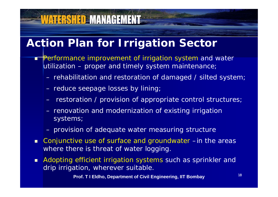#### **Action Plan for Irrigation Sector**

- **Performance improvement of irrigation system and water** utilization - proper and timely system maintenance;
	- $-$  rehabilitation and restoration of damaged / silted system;  $\overline{\phantom{a}}$
	- reduce seepage losses by lining;

**WATERSHED MANAGEMENT** 

- restoration / provision of appropriate control structures;
- renovation and modernization of existing irrigation systems;
- provision of adequate water measuring structure
- $\blacksquare$ ■ Conjunctive use of surface and groundwater –in the areas where there is threat of water logging.
- $\blacksquare$  Adopting efficient irrigation systems such as sprinkler and drip irrigation, wherever suitable.

**Prof. T I Eldho, Department of Civil Engineering, IIT Bombay**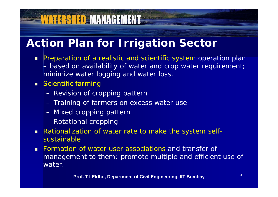# **WATERSHED MANAGEMENT**

#### **Action Plan for Irrigation Sector**

**Preparation of a realistic and scientific system operation plan**  based on availability of water and crop water requirement; minimize water logging and water loss.

#### **Scientific farming** –

- Revision of cropping pattern
- Training of farmers on excess water use
- Mixed cropping pattern
- Rotational cropping
- Rationalization of water rate to make the system selfsustainable
- $\blacksquare$  Formation of water user associations and transfer of management to them; promote multiple and efficient use of water.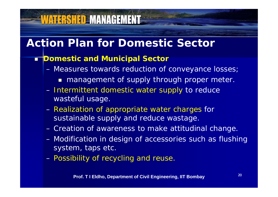## **Action Plan for Domestic Sector**

#### *Domestic and Municipal Sector*

- Measures towards reduction of conveyance losses;
	- **nanagement of supply through proper meter.**
- Intermittent domestic water supply to reduce wasteful usage.
- Realization of appropriate water charges for sustainable supply and reduce wastage.
- Creation of awareness to make attitudinal change.
- Modification in design of accessories such as flushing system, taps etc.
- Possibility of recycling and reuse.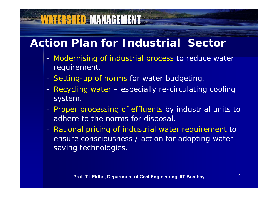## **VATERSHED MANAGEMENT**

#### **Action Plan for Industrial Sector**

- Modernising of industrial process to reduce water requirement.
- Setting-up of norms for water budgeting.
- Recycling water especially re-circulating cooling system.
- Proper processing of effluents by industrial units to adhere to the norms for disposal.
- Rational pricing of industrial water requirement to ensure consciousness / action for adopting water saving technologies.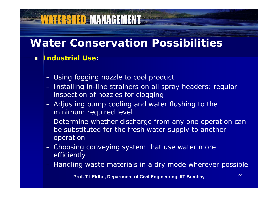## **WATERSHED MANAGEMENT**

#### **Water Conservation Possibilities**

#### П *Industrial Use:*

- Using fogging nozzle to cool product
- Installing in-line strainers on all spray headers; regular inspection of nozzles for clogging
- Adjusting pump cooling and water flushing to the minimum required level
- Determine whether discharge from any one operation can be substituted for the fresh water supply to another operation
- Choosing conveying system that use water more efficiently
- Handling waste materials in a dry mode wherever possible

**Prof. T I Eldho, Department of Civil Engineering, IIT Bombay**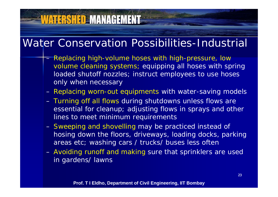## **WATERSHED MANAGEMENT**

#### Water Conservation Possibilities-Industrial

- Replacing high-volume hoses with high-pressure, low volume cleaning systems; equipping all hoses with spring loaded shutoff nozzles; instruct employees to use hoses only when necessary
- Replacing worn-out equipments with water-saving models
- Turning off all flows during shutdowns unless flows are essential for cleanup; adjusting flows in sprays and other lines to meet minimum requirements
- Sweeping and shovelling may be practiced instead of hosing down the floors, driveways, loading docks, parking areas etc; washing cars / trucks/ buses less often
- Avoiding runoff and making sure that sprinklers are used in gardens/ lawns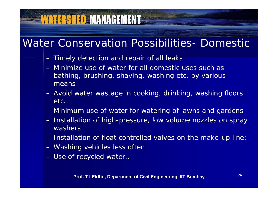## **VATERSHED MANAGEMENT**

#### Water Conservation Possibilities- Domestic

- Timely detection and repair of all leaks
- Minimize use of water for all domestic uses such as bathing, brushing, shaving, washing etc. by various means
- Avoid water wastage in cooking, drinking, washing floors etc.
- Minimum use of water for watering of lawns and gardens - Installation of high-pressure, low volume nozzles on spray washers
- Installation of float controlled valves on the make-up line;
- Washing vehicles less often
- Use of recycled water.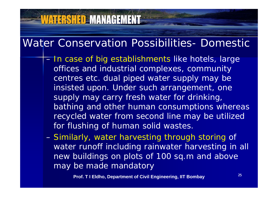## **VATERSHED MANAGEMENT**

#### Water Conservation Possibilities- Domestic

- $=$  In case of big establishments like hotels, large offices and industrial complexes, community centres etc. dual piped water supply may be insisted upon. Under such arrangement, one supply may carry fresh water for drinking, bathing and other human consumptions whereas recycled water from second line may be utilized for flushing of human solid wastes.
- Similarly, water harvesting through storing of water runoff including rainwater harvesting in all new buildings on plots of 100 sq.m and above may be made mandatory

**Prof. T I Eldho, Department of Civil Engineering, IIT Bombay**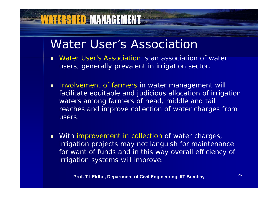#### Water User's Association

- Г Water User's Association is an association of water users, generally prevalent in irrigation sector.
- **Involvement of farmers in water management will** facilitate equitable and judicious allocation of irrigation waters among farmers of head, middle and tail reaches and improve collection of water charges from users.
- **Number 10 India** With improvement in collection of water charges, irrigation projects may not languish for maintenance for want of funds and in this way overall efficiency of irrigation systems will improve.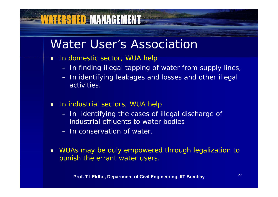#### Water User's Association

 $\blacksquare$  In domestic sector, WUA help

- In finding illegal tapping of water from supply lines,
- In identifying leakages and losses and other illegal activities.
- **In industrial sectors, WUA help** 
	- In identifying the cases of illegal discharge of industrial effluents to water bodies
	- In conservation of water.
- WUAs may be duly empowered through legalization to punish the errant water users.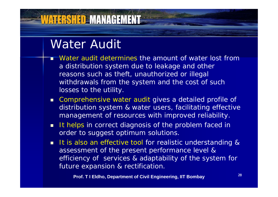#### Water Audit<sup>'</sup>

**VATERSHED MANAGEMENT** 

- Г Water audit determines the amount of water lost from a distribution system due to leakage and other reasons such as theft, unauthorized or illegal withdrawals from the system and the cost of such losses to the utility.
- Comprehensive water audit gives a detailed profile of distribution system & water users, facilitating effective management of resources with improved reliability.
- It helps in correct diagnosis of the problem faced in order to suggest optimum solutions.
- **It is also an effective tool for realistic understanding &** assessment of the present performance level & efficiency of services & adaptability of the system for future expansion & rectification .

**Prof. T I Eldho, Department of Civil Engineering, IIT Bombay**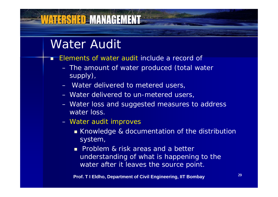#### Water Audit

- Г Elements of water audit include a record of
	- The amount of water produced (total water supply),
	- Water delivered to metered users,
	- Water delivered to un-metered users,
	- Water loss and suggested measures to address water loss.
	- Water audit improves
		- Knowledge & documentation of the distribution system,
		- **Problem & risk areas and a better** understanding of what is happening to the water after it leaves the source point .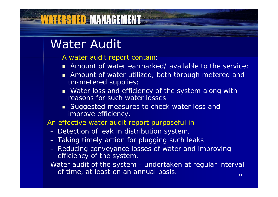#### Water Audit

**ATERSHED MANAGEMENT** 

- A water audit report contain:
- Amount of water earmarked/ available to the service;
- **Amount of water utilized, both through metered and Lines** un-metered supplies;
- **Netable 19 and Strutu and Strutu Exame System along with 19 and Strutu Example 20 and Strutu Example 20 and Stru** reasons for such water losses
- **Suggested measures to check water loss and** improve efficiency.

An effective water audit report purposeful in

- Detection of leak in distribution system,
- Taking timely action for plugging such leaks
- Reducing conveyance losses of water and improving efficiency of the system.

Water audit of the system - undertaken at regular interval of time, at least on an annual basis.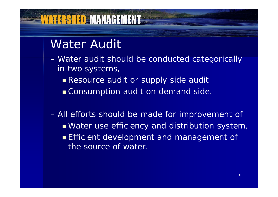# Water Audit

**IATERSHED MANAGEMENT** 

- Water audit should be conducted categorically in two systems,
	- Resource audit or supply side audit
	- **Consumption audit on demand side.**

 All efforts should be made for improvement of Water use efficiency and distribution system, **Efficient development and management of** the source of water.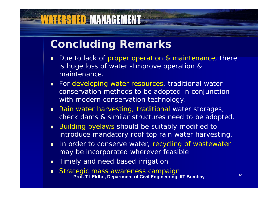#### **Concluding Remarks**

- Г Due to lack of proper operation & maintenance, there is huge loss of water -Improve operation & maintenance.
- **For developing water resources, traditional water** conservation methods to be adopted in conjunction with modern conservation technology.
- **Rain water harvesting, traditional water storages,** check dams & similar structures need to be adopted.
- **Building byelaws should be suitably modified to** introduce mandatory roof top rain water harvesting.
- $\blacksquare$ In order to conserve water, recycling of wastewater may be incorporated wherever feasible
- **Timely and need based irrigation**
- **Strategic mass awareness campaign Prof. T I Eldho, Department of Civil Engineering, IIT Bombay**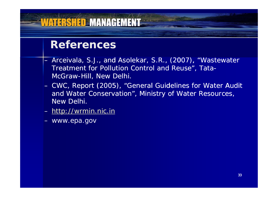#### ATERSHED MANAGEMENT

#### **References**

- Arceivala, S.J., and Asolekar, S.R., (2007), "Wastewater Treatment for Pollution Control and Reuse", Tata-McGraw-Hill, New Delhi.
- CWC, Report (2005), "General Guidelines for Water Audit and Water Conservation", Ministry of Water Resources, New Delhi.
- <u>http://wrmin.nic.in</u>
- www.epa.gov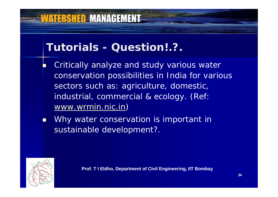### **VATERSHED MANAGEMENT**

#### **Tutorials - Question!.?.**

- F. Critically analyze and study various water conservation possibilities in India for various sectors such as: agriculture, domestic, industrial, commercial & ecology. (Ref: www.wrmin.nic.in )
- п Why water conservation is important in sustainable development?.

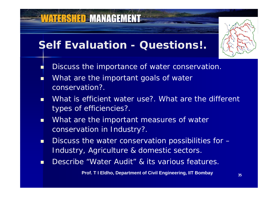#### **Self Evaluation - Questions!.**

**VATERSHED MANAGEMENT** 



- Discuss the importance of water conservation.
- T. • What are the important goals of water conservation?.

П

- O. What is efficient water use?. What are the different types of efficiencies?.
- П What are the important measures of water conservation in Industry?.
- m. **Discuss the water conservation possibilities for** – Industry, Agriculture & domestic sectors.
- T. Describe "Water Audit" & its various features.

**Prof. T I Eldho, Department of Civil Engineering, IIT Bombay**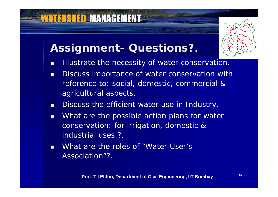## **Assignment- Questions?.**

- $\blacksquare$ Illustrate the necessity of water conservation.
- п Discuss importance of water conservation with reference to: social, domestic, commercial & agricultural aspects.
- $\blacksquare$ Discuss the efficient water use in Industry.
- $\blacksquare$  What are the possible action plans for water conservation: for irrigation, domestic & industrial uses.?.
- $\blacksquare$ What are the roles of "Water User's Association"?.